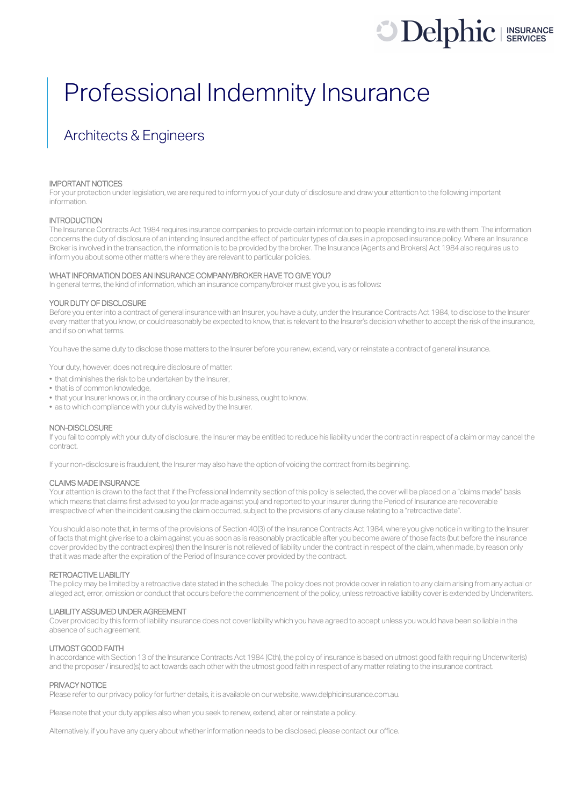# **Delphic** I INSURANCE

## Professional Indemnity Insurance

### Architects & Engineers

#### IMPORTANT NOTICES

For your protection under legislation, we are required to inform you of your duty of disclosure and draw your attention to the following important information.

#### **INTRODUCTION**

The Insurance Contracts Act 1984 requires insurance companies to provide certain information to people intending to insure with them. The information concerns the duty of disclosure of an intending Insured and the effect of particular types of clauses in a proposed insurance policy. Where an Insurance Broker is involved in the transaction, the information is to be provided by the broker. The Insurance (Agents and Brokers) Act 1984 also requires us to inform you about some other matters where they are relevant to particular policies.

#### WHAT INFORMATION DOES AN INSURANCE COMPANY/BROKER HAVE TO GIVE YOU?

In general terms, the kind of information, which an insurance company/broker must give you, is as follows:

#### YOUR DUTY OF DISCLOSURE

Before you enter into a contract of general insurance with an Insurer, you have a duty, under the Insurance Contracts Act 1984, to disclose to the Insurer every matter that you know, or could reasonably be expected to know, that is relevant to the Insurer's decision whether to accept the risk of the insurance, and if so on what terms.

You have the same duty to disclose those matters to the Insurer before you renew, extend, vary or reinstate a contract of general insurance.

Your duty, however, does not require disclosure of matter:

- that diminishes the risk to be undertaken by the Insurer,
- that is of common knowledge,
- that your Insurer knows or, in the ordinary course of his business, ought to know,
- as to which compliance with your duty is waived by the Insurer.

#### NON-DISCLOSURE

If you fail to comply with your duty of disclosure, the Insurer may be entitled to reduce his liability under the contract in respect of a claim or may cancel the contract.

If your non-disclosure is fraudulent, the Insurer may also have the option of voiding the contract from its beginning.

#### CLAIMS MADE INSURANCE

Your attention is drawn to the fact that if the Professional Indemnity section of this policy is selected, the cover will be placed on a "claims made" basis which means that claims first advised to you (or made against you) and reported to your insurer during the Period of Insurance are recoverable irrespective of when the incident causing the claim occurred, subject to the provisions of any clause relating to a "retroactive date".

You should also note that, in terms of the provisions of Section 40(3) of the Insurance Contracts Act 1984, where you give notice in writing to the Insurer of facts that might give rise to a claim against you as soon as is reasonably practicable after you become aware of those facts (but before the insurance cover provided by the contract expires) then the Insurer is not relieved of liability under the contract in respect of the claim, when made, by reason only that it was made after the expiration of the Period of Insurance cover provided by the contract.

#### RETROACTIVE LIABILITY

The policy may be limited by a retroactive date stated in the schedule. The policy does not provide cover in relation to any claim arising from any actual or alleged act, error, omission or conduct that occurs before the commencement of the policy, unless retroactive liability cover is extended by Underwriters.

#### LIABILITY ASSUMED UNDER AGREEMENT

Cover provided by this form of liability insurance does not cover liability which you have agreed to accept unless you would have been so liable in the absence of such agreement.

#### UTMOST GOOD FAITH

In accordance with Section 13 of the Insurance Contracts Act 1984 (Cth), the policy of insurance is based on utmost good faith requiring Underwriter(s) and the proposer/ insured(s) to act towards each other with the utmost good faith in respect of any matter relating to the insurance contract.

#### PRIVACY NOTICE

Please refer to our privacy policy for further details, it is available on our website, www.delphicinsurance.com.au.

Please note that your duty applies also when you seek to renew, extend, alter or reinstate a policy.

Alternatively, if you have any query about whether information needs to be disclosed, please contact our office.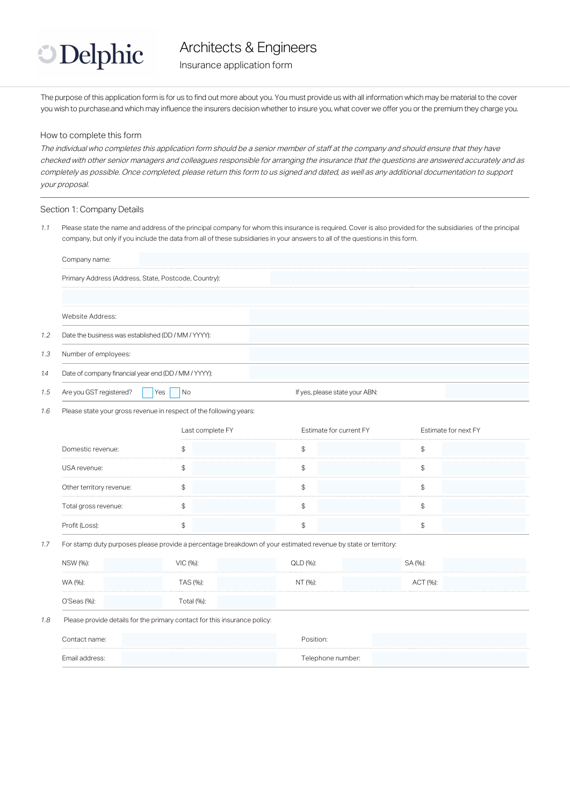

Insurance application form

The purpose of this application form is for us to find out more about you. You must provide us with all information which may be material to the cover you wish to purchase.and which may influence the insurers decision whether to insure you, what cover we offer you or the premium they charge you.

#### How to complete this form

The individual who completes this application form should be a senior member of staff at the company and should ensure that they have checked with other senior managers and colleagues responsible for arranging the insurance that the questions are answered accurately and as completely as possible. Once completed, please return this form to us signed and dated, as well as any additional documentation to support your proposal.

#### Section 1: Company Details

1.1 Please state the name and address of the principal company for whom this insurance is required. Cover is also provided for the subsidiaries of the principal company, but only if you include the data from all of these subsidiaries in your answers to all of the questions in this form.

|     | Company name:                                        |     |                                |  |  |
|-----|------------------------------------------------------|-----|--------------------------------|--|--|
|     | Primary Address (Address, State, Postcode, Country): |     |                                |  |  |
|     | Website Address:                                     |     |                                |  |  |
| 1.2 | Date the business was established (DD / MM / YYYY):  |     |                                |  |  |
| 1.3 | Number of employees:                                 |     |                                |  |  |
| 1.4 | Date of company financial year end (DD / MM / YYYY): |     |                                |  |  |
| 1.5 | Are you GST registered?                              | Yes | If yes, please state your ABN: |  |  |

1.6 Please state your gross revenue in respect of the following years:

|                          | Last complete FY | Estimate for current FY | Estimate for next FY |
|--------------------------|------------------|-------------------------|----------------------|
| Domestic revenue:        |                  |                         |                      |
| USA revenue:             |                  |                         |                      |
| Other territory revenue: |                  |                         |                      |
| Total gross revenue:     |                  |                         |                      |
|                          |                  |                         |                      |

#### 1.7 For stamp duty purposes please provide a percentage breakdown of your estimated revenue by state or territory:

| NSW (%):    | VIC (%):   | QLD (%): | SA (%):  |  |
|-------------|------------|----------|----------|--|
| WA (%):     | TAS (%):   | NT (%):  | ACT (%): |  |
| O'Seas (%): | Гotal (%): |          |          |  |

#### 1.8 Please provide details for the primary contact for this insurance policy:

| Contact name:  | Position:         |  |
|----------------|-------------------|--|
| Email address: | Telephone number: |  |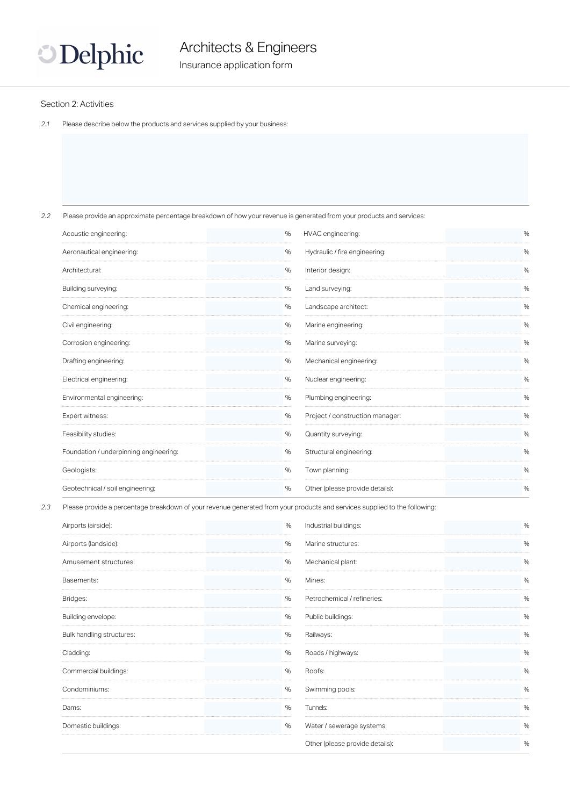

#### Section 2: Activities

2.1 Please describe below the products and services supplied by your business:

2.2 Please provide an approximate percentage breakdown of how your revenue is generated from your products and services:

| Acoustic engineering:                  | $\%$ | HVAC engineering:               | %    |
|----------------------------------------|------|---------------------------------|------|
| Aeronautical engineering:              | $\%$ | Hydraulic / fire engineering:   | %    |
| Architectural:                         | %    | Interior design:                | %    |
| Building surveying:                    | $\%$ | Land surveying:                 | $\%$ |
| Chemical engineering:                  | %    | Landscape architect:            | %    |
| Civil engineering:                     | $\%$ | Marine engineering:             | %    |
| Corrosion engineering:                 | %    | Marine surveying:               | $\%$ |
| Drafting engineering:                  | %    | Mechanical engineering:         | $\%$ |
| Electrical engineering:                | %    | Nuclear engineering:            | %    |
| Environmental engineering:             | $\%$ | Plumbing engineering:           | $\%$ |
| Expert witness:                        | $\%$ | Project / construction manager: | $\%$ |
| Feasibility studies:                   | %    | Quantity surveying:             | %    |
| Foundation / underpinning engineering: | %    | Structural engineering:         | %    |
| Geologists:                            | $\%$ | Town planning:                  | %    |
| Geotechnical / soil engineering:       | %    | Other (please provide details): | %    |

2.3 Please provide a percentage breakdown of your revenue generated from your products and services supplied to the following:

| Airports (airside):       | %    | Industrial buildings:           | %    |
|---------------------------|------|---------------------------------|------|
| Airports (landside):      | $\%$ | Marine structures:              | %    |
| Amusement structures:     | %    | Mechanical plant:               | %    |
| Basements:                | $\%$ | Mines:                          | %    |
| Bridges:                  | %    | Petrochemical / refineries:     | %    |
| Building envelope:        | %    | Public buildings:               | $\%$ |
| Bulk handling structures: | $\%$ | Railways:                       | $\%$ |
| Cladding:                 | %    | Roads / highways:               | %    |
| Commercial buildings:     | $\%$ | Roofs:                          | %    |
| Condominiums:             | %    | Swimming pools:                 | $\%$ |
| Dams:                     | $\%$ | Tunnels:                        | $\%$ |
| Domestic buildings:       | $\%$ | Water / sewerage systems:       | %    |
|                           |      | Other (please provide details): | %    |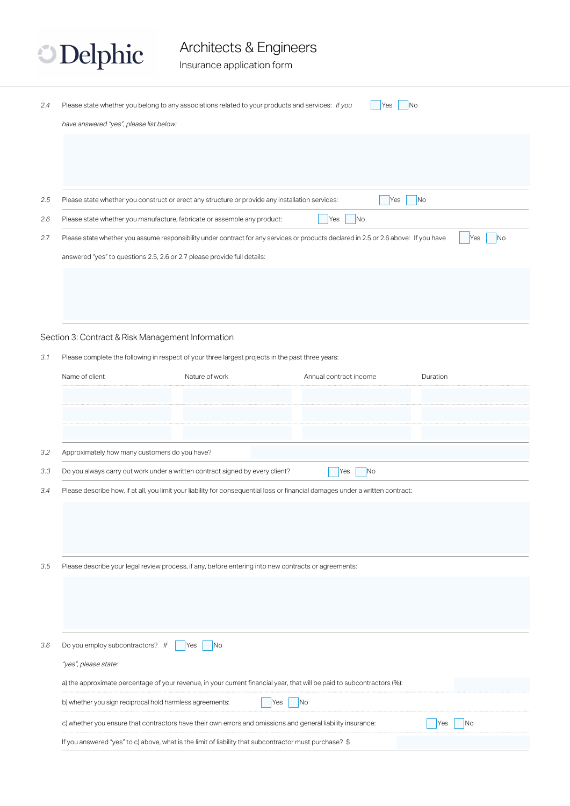**Delphic** 

Insurance application form

| 2.4 | Please state whether you belong to any associations related to your products and services: If you<br>have answered "yes", please list below: |                       | Yes                                                                                                                                  | No                    |
|-----|----------------------------------------------------------------------------------------------------------------------------------------------|-----------------------|--------------------------------------------------------------------------------------------------------------------------------------|-----------------------|
|     |                                                                                                                                              |                       |                                                                                                                                      |                       |
| 2.5 | Please state whether you construct or erect any structure or provide any installation services:                                              |                       | Yes                                                                                                                                  | No                    |
| 2.6 | Please state whether you manufacture, fabricate or assemble any product:                                                                     |                       | N <sub>o</sub><br>Yes                                                                                                                |                       |
| 2.7 |                                                                                                                                              |                       | Please state whether you assume responsibility under contract for any services or products declared in 2.5 or 2.6 above: If you have | N <sub>o</sub><br>Yes |
|     | answered "yes" to questions 2.5, 2.6 or 2.7 please provide full details:                                                                     |                       |                                                                                                                                      |                       |
|     |                                                                                                                                              |                       |                                                                                                                                      |                       |
|     |                                                                                                                                              |                       |                                                                                                                                      |                       |
|     |                                                                                                                                              |                       |                                                                                                                                      |                       |
|     | Section 3: Contract & Risk Management Information                                                                                            |                       |                                                                                                                                      |                       |
| 3.1 | Please complete the following in respect of your three largest projects in the past three years:                                             |                       |                                                                                                                                      |                       |
|     | Name of client                                                                                                                               | Nature of work        | Annual contract income                                                                                                               | Duration              |
|     |                                                                                                                                              |                       |                                                                                                                                      |                       |
|     |                                                                                                                                              |                       |                                                                                                                                      |                       |
|     |                                                                                                                                              |                       |                                                                                                                                      |                       |
| 3.2 | Approximately how many customers do you have?                                                                                                |                       |                                                                                                                                      |                       |
| 3.3 | Do you always carry out work under a written contract signed by every client?                                                                |                       | No<br>Yes                                                                                                                            |                       |
| 3.4 |                                                                                                                                              |                       | Please describe how, if at all, you limit your liability for consequential loss or financial damages under a written contract:       |                       |
|     |                                                                                                                                              |                       |                                                                                                                                      |                       |
|     |                                                                                                                                              |                       |                                                                                                                                      |                       |
|     |                                                                                                                                              |                       |                                                                                                                                      |                       |
| 3.5 | Please describe your legal review process, if any, before entering into new contracts or agreements:                                         |                       |                                                                                                                                      |                       |
|     |                                                                                                                                              |                       |                                                                                                                                      |                       |
|     |                                                                                                                                              |                       |                                                                                                                                      |                       |
|     |                                                                                                                                              |                       |                                                                                                                                      |                       |
| 3.6 | Do you employ subcontractors? If                                                                                                             | N <sub>o</sub><br>Yes |                                                                                                                                      |                       |
|     | "yes", please state:                                                                                                                         |                       |                                                                                                                                      |                       |
|     |                                                                                                                                              |                       | a) the approximate percentage of your revenue, in your current financial year, that will be paid to subcontractors (%):              |                       |
|     | b) whether you sign reciprocal hold harmless agreements:                                                                                     |                       | N <sub>o</sub><br>Yes                                                                                                                |                       |
|     | c) whether you ensure that contractors have their own errors and omissions and general liability insurance:                                  |                       |                                                                                                                                      | N <sub>o</sub><br>Yes |
|     | If you answered "yes" to c) above, what is the limit of liability that subcontractor must purchase? \$                                       |                       |                                                                                                                                      |                       |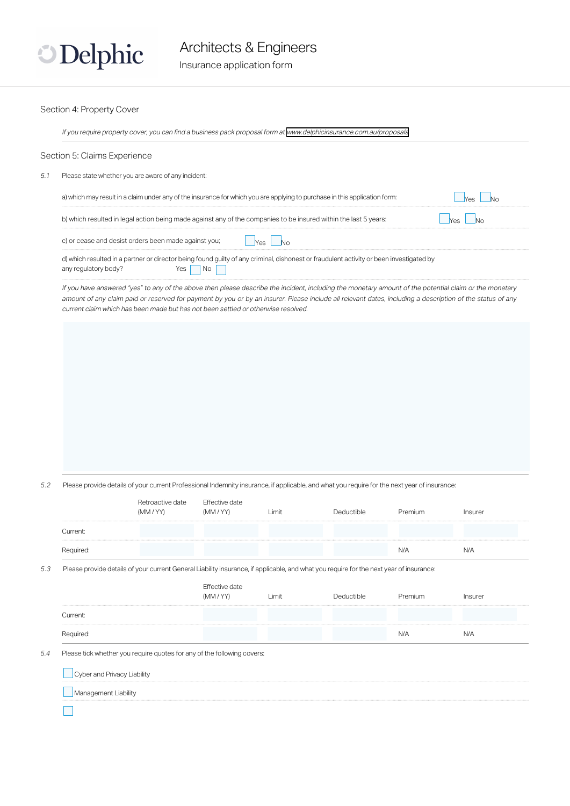

#### Section 4: Property Cover

If you require property cover, you can find a business pack proposal form at <www.delphicinsurance.com.au/proposals>

#### Section 5: Claims Experience

5.1 Please state whether you are aware of any incident:

| a) which may result in a claim under any of the insurance for which you are applying to purchase in this application form:                                      |  |
|-----------------------------------------------------------------------------------------------------------------------------------------------------------------|--|
| b) which resulted in legal action being made against any of the companies to be insured within the last 5 years:                                                |  |
| c) or cease and desist orders been made against you;                                                                                                            |  |
| d) which resulted in a partner or director being found guilty of any criminal, dishonest or fraudulent activity or been investigated by<br>any regulatory body? |  |

If you have answered "yes" to any of the above then please describe the incident, including the monetary amount of the potential claim or the monetary amount of any claim paid or reserved for payment by you or by an insurer. Please include all relevant dates, including a description of the status of any current claim which has been made but has not been settled or otherwise resolved.

5.2 Please provide details of your current Professional Indemnity insurance, if applicable, and what you require for the next year of insurance:

|                             | Retroactive date<br>(MM / YY)                                                                                                           | Effective date<br>(MM / YY) | Limit | Deductible | Premium | Insurer |
|-----------------------------|-----------------------------------------------------------------------------------------------------------------------------------------|-----------------------------|-------|------------|---------|---------|
| Current:                    |                                                                                                                                         |                             |       |            |         |         |
| Required:                   |                                                                                                                                         |                             |       |            | N/A     | N/A     |
|                             | Please provide details of your current General Liability insurance, if applicable, and what you require for the next year of insurance: |                             |       |            |         |         |
|                             |                                                                                                                                         | Effective date<br>(MM / YY) | Limit | Deductible | Premium | Insurer |
| Current:                    |                                                                                                                                         |                             |       |            |         |         |
| Required:                   |                                                                                                                                         |                             |       |            | N/A     | N/A     |
|                             | Please tick whether you require quotes for any of the following covers:                                                                 |                             |       |            |         |         |
| Cyber and Privacy Liability |                                                                                                                                         |                             |       |            |         |         |
|                             |                                                                                                                                         |                             |       |            |         |         |
| Management Liability        |                                                                                                                                         |                             |       |            |         |         |